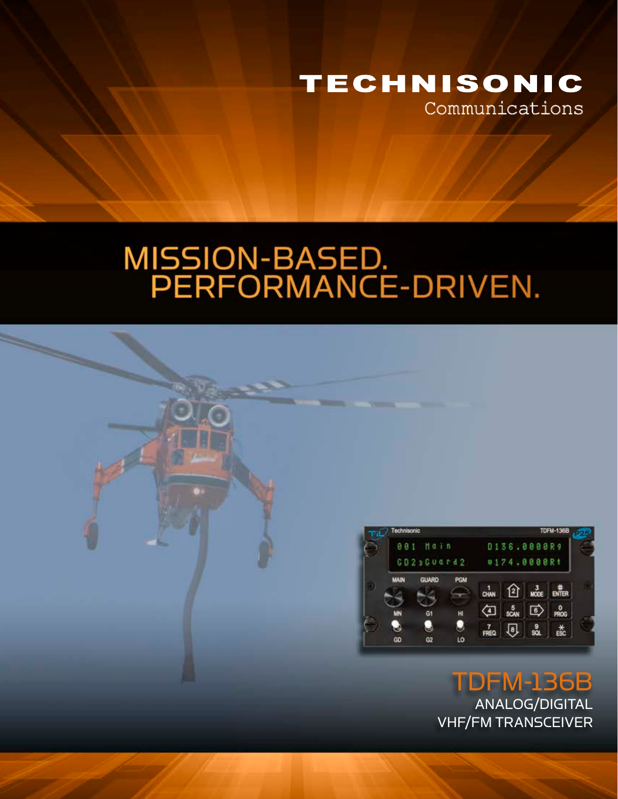

# MISSION-BASED.<br>PERFORMANCE-DRIVEN.



TDFM-136B ANALOG/DIGITAL VHF/FM TRANSCEIVER